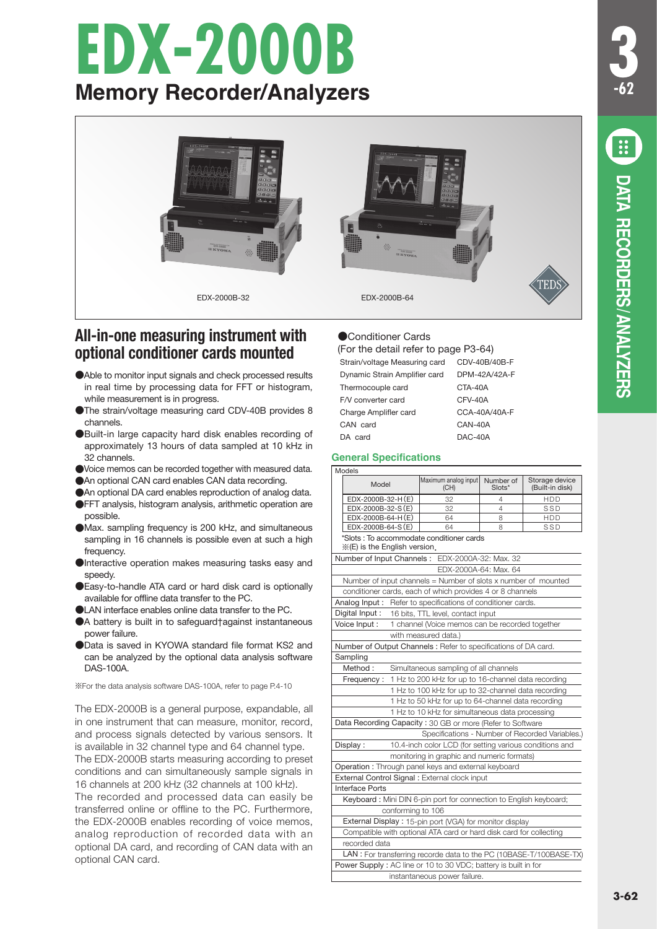# **EDX-2000B Memory Recorder/Analyzers**



# **All-in-one measuring instrument with optional conditioner cards mounted**

- ●Able to monitor input signals and check processed results in real time by processing data for FFT or histogram, while measurement is in progress.
- ●The strain/voltage measuring card CDV-40B provides 8 channels.
- ●Built-in large capacity hard disk enables recording of approximately 13 hours of data sampled at 10 kHz in 32 channels.
- ●Voice memos can be recorded together with measured data.
- ●An optional CAN card enables CAN data recording.
- ●An optional DA card enables reproduction of analog data.
- ●FFT analysis, histogram analysis, arithmetic operation are possible.
- ●Max. sampling frequency is 200 kHz, and simultaneous sampling in 16 channels is possible even at such a high frequency.
- Interactive operation makes measuring tasks easy and speedy.
- ●Easy-to-handle ATA card or hard disk card is optionally available for offline data transfer to the PC.
- ●LAN interface enables online data transfer to the PC.
- ●A battery is built in to safeguard†against instantaneous power failure.
- ●Data is saved in KYOWA standard file format KS2 and can be analyzed by the optional data analysis software DAS-100A.

※For the data analysis software DAS-100A, refer to page P.4-10

The EDX-2000B is a general purpose, expandable, all in one instrument that can measure, monitor, record, and process signals detected by various sensors. It is available in 32 channel type and 64 channel type. The EDX-2000B starts measuring according to preset conditions and can simultaneously sample signals in 16 channels at 200 kHz (32 channels at 100 kHz).

The recorded and processed data can easily be transferred online or offline to the PC. Furthermore, the EDX-2000B enables recording of voice memos, analog reproduction of recorded data with an optional DA card, and recording of CAN data with an optional CAN card.

## ●Conditioner Cards

(For the detail refer to page P3-64)

| Strain/voltage Measuring card | CDV-40B/40B-F |
|-------------------------------|---------------|
| Dynamic Strain Amplifier card | DPM-42A/42A-F |
| Thermocouple card             | CTA-40A       |
| F/V converter card            | CFV-40A       |
| Charge Amplifler card         | CCA-40A/40A-F |
| CAN card                      | CAN-40A       |
| DA card                       | DAC-40A       |
|                               |               |

## **General Specifications**

|                                                                     | Models                                                              |  |                                                                 |                     |                                   |
|---------------------------------------------------------------------|---------------------------------------------------------------------|--|-----------------------------------------------------------------|---------------------|-----------------------------------|
|                                                                     | Model                                                               |  | Maximum analog input<br>(CH)                                    | Number of<br>Slots* | Storage device<br>(Built-in disk) |
|                                                                     | EDX-2000B-32-H(E)                                                   |  | 32                                                              | 4                   | <b>HDD</b>                        |
|                                                                     | EDX-2000B-32-S(E)                                                   |  | 32                                                              | 4                   | SSD                               |
|                                                                     | EDX-2000B-64-H (E)                                                  |  | 64                                                              | 8                   | HDD                               |
|                                                                     | EDX-2000B-64-S (E)                                                  |  | 64                                                              | 8                   | SSD                               |
|                                                                     | * (E) is the English version.                                       |  | *Slots: To accommodate conditioner cards                        |                     |                                   |
|                                                                     | Number of Input Channels:                                           |  | EDX-2000A-32: Max. 32                                           |                     |                                   |
|                                                                     |                                                                     |  | FDX-2000A-64: Max. 64                                           |                     |                                   |
|                                                                     |                                                                     |  | Number of input channels = Number of slots x number of mounted  |                     |                                   |
|                                                                     |                                                                     |  | conditioner cards, each of which provides 4 or 8 channels       |                     |                                   |
|                                                                     | Analog Input:                                                       |  | Refer to specifications of conditioner cards.                   |                     |                                   |
|                                                                     | Digital Input:                                                      |  | 16 bits, TTL level, contact input                               |                     |                                   |
|                                                                     | Voice Input:<br>1 channel (Voice memos can be recorded together     |  |                                                                 |                     |                                   |
|                                                                     | with measured data.)                                                |  |                                                                 |                     |                                   |
|                                                                     |                                                                     |  | Number of Output Channels : Refer to specifications of DA card. |                     |                                   |
|                                                                     | Sampling                                                            |  |                                                                 |                     |                                   |
|                                                                     | Method:<br>Simultaneous sampling of all channels                    |  |                                                                 |                     |                                   |
|                                                                     | 1 Hz to 200 kHz for up to 16-channel data recording<br>Frequency:   |  |                                                                 |                     |                                   |
| 1 Hz to 100 kHz for up to 32-channel data recording                 |                                                                     |  |                                                                 |                     |                                   |
| 1 Hz to 50 kHz for up to 64-channel data recording                  |                                                                     |  |                                                                 |                     |                                   |
| 1 Hz to 10 kHz for simultaneous data processing                     |                                                                     |  |                                                                 |                     |                                   |
|                                                                     |                                                                     |  | Data Recording Capacity: 30 GB or more (Refer to Software       |                     |                                   |
| Specifications - Number of Recorded Variables.)                     |                                                                     |  |                                                                 |                     |                                   |
|                                                                     | Display:<br>10.4-inch color LCD (for setting various conditions and |  |                                                                 |                     |                                   |
|                                                                     | monitoring in graphic and numeric formats)                          |  |                                                                 |                     |                                   |
| Operation: Through panel keys and external keyboard                 |                                                                     |  |                                                                 |                     |                                   |
| External Control Signal: External clock input                       |                                                                     |  |                                                                 |                     |                                   |
| <b>Interface Ports</b>                                              |                                                                     |  |                                                                 |                     |                                   |
| Keyboard: Mini DIN 6-pin port for connection to English keyboard;   |                                                                     |  |                                                                 |                     |                                   |
| conforming to 106                                                   |                                                                     |  |                                                                 |                     |                                   |
| External Display: 15-pin port (VGA) for monitor display             |                                                                     |  |                                                                 |                     |                                   |
| Compatible with optional ATA card or hard disk card for collecting  |                                                                     |  |                                                                 |                     |                                   |
| recorded data                                                       |                                                                     |  |                                                                 |                     |                                   |
| LAN : For transferring recorde data to the PC (10BASE-T/100BASE-TX) |                                                                     |  |                                                                 |                     |                                   |
| Power Supply: AC line or 10 to 30 VDC; battery is built in for      |                                                                     |  |                                                                 |                     |                                   |
| instantaneous power failure.                                        |                                                                     |  |                                                                 |                     |                                   |

**3**

**-62**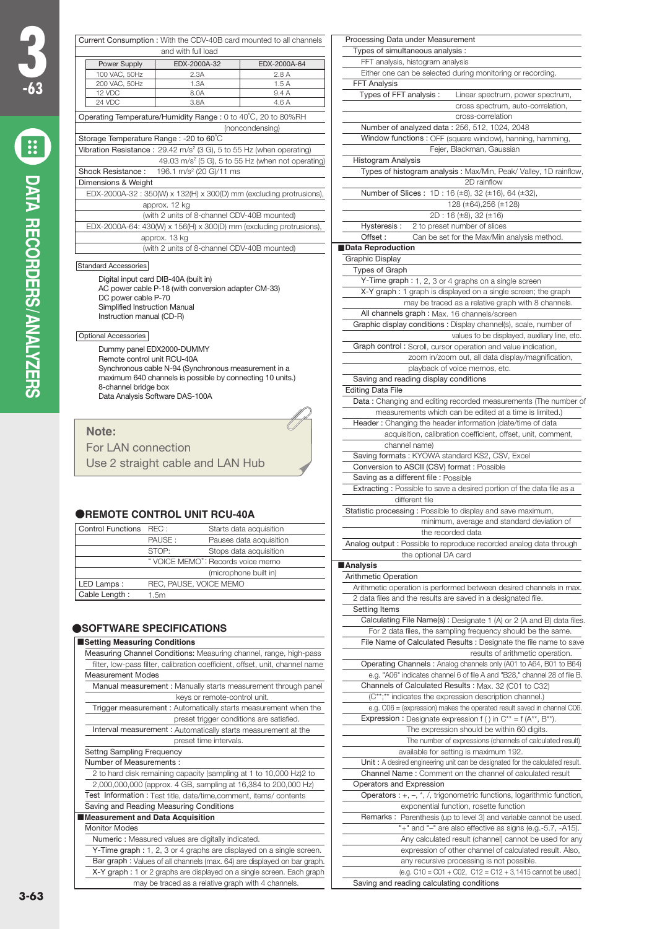| Current Consumption: With the CDV-40B card mounted to all channels             |                      |                                       |              |
|--------------------------------------------------------------------------------|----------------------|---------------------------------------|--------------|
| and with full load                                                             |                      |                                       |              |
|                                                                                | Power Supply         | EDX-2000A-32                          | EDX-2000A-64 |
|                                                                                | 100 VAC, 50Hz        | 2.3A                                  | 2.8A         |
|                                                                                | 200 VAC, 50Hz        | 1.3A                                  | 1.5A         |
|                                                                                | 12 VDC               | 8.0A                                  | 9.4 A        |
|                                                                                | 24 VDC               | 3.8A                                  | 4.6 A        |
| Operating Temperature/Humidity Range: 0 to 40°C, 20 to 80%RH                   |                      |                                       |              |
| (noncondensing)                                                                |                      |                                       |              |
| Storage Temperature Range: -20 to 60°C                                         |                      |                                       |              |
| Vibration Resistance: $29.42 \text{ m/s}^2$ (3 G), 5 to 55 Hz (when operating) |                      |                                       |              |
| 49.03 m/s <sup>2</sup> (5 G), 5 to 55 Hz (when not operating)                  |                      |                                       |              |
| Shock Resistance:<br>196.1 m/s <sup>2</sup> (20 G)/11 ms                       |                      |                                       |              |
| Dimensions & Weight                                                            |                      |                                       |              |
| EDX-2000A-32: 350(W) x 132(H) x 300(D) mm (excluding protrusions),             |                      |                                       |              |
| approx. 12 kg                                                                  |                      |                                       |              |
| (with 2 units of 8-channel CDV-40B mounted)                                    |                      |                                       |              |
| EDX-2000A-64: 430(W) x 156(H) x 300(D) mm (excluding protrusions),             |                      |                                       |              |
| approx. 13 kg                                                                  |                      |                                       |              |
| (with 2 units of 8-channel CDV-40B mounted)                                    |                      |                                       |              |
|                                                                                |                      |                                       |              |
|                                                                                | Standard Accessories |                                       |              |
|                                                                                |                      | Digital input card DIB-40A (built in) |              |
| AC power cable P-18 (with conversion adapter CM-33)                            |                      |                                       |              |
|                                                                                | DC power cable P-70  |                                       |              |
| Simplified Instruction Manual                                                  |                      |                                       |              |

Optional Accessories

Instruction manual (CD-R)

Dummy panel EDX2000-DUMMY Remote control unit RCU-40A Synchronous cable N-94 (Synchronous measurement in a maximum 640 channels is possible by connecting 10 units.) 8-channel bridge box Data Analysis Software DAS-100A

## **Note:** For LAN connection

Use 2 straight cable and LAN Hub

### **OREMOTE CONTROL UNIT RCU-40A**

| Control Functions REC: |                                   | Starts data acquisition |
|------------------------|-----------------------------------|-------------------------|
|                        | PAUSE:                            | Pauses data acquisition |
|                        | STOP:                             | Stops data acquisition  |
|                        | " VOICE MEMO": Records voice memo |                         |
| (microphone built in)  |                                   |                         |
| LED Lamps:             | REC, PAUSE, VOICE MEMO            |                         |
| Cable Length:          | 1.5m                              |                         |

### **OSOFTWARE SPECIFICATIONS**

#### ■**Setting Measuring Conditions**

| Measuring Channel Conditions: Measuring channel, range, high-pass            |
|------------------------------------------------------------------------------|
| filter, low-pass filter, calibration coefficient, offset, unit, channel name |
| <b>Measurement Modes</b>                                                     |
| Manual measurement: Manually starts measurement through panel                |
| keys or remote-control unit.                                                 |
| Trigger measurement: Automatically starts measurement when the               |
| preset trigger conditions are satisfied.                                     |
| Interval measurement: Automatically starts measurement at the                |
| preset time intervals.                                                       |
| Settng Sampling Frequency                                                    |
| Number of Measurements:                                                      |
| 2 to hard disk remaining capacity (sampling at 1 to 10,000 Hz)2 to           |
| 2,000,000,000 (approx. 4 GB, sampling at 16,384 to 200,000 Hz)               |
| Test Information : Test title, date/time, comment, items/ contents           |
| Saving and Reading Measuring Conditions                                      |
| Measurement and Data Acquisition                                             |
| <b>Monitor Modes</b>                                                         |
| Numeric: Measured values are digitally indicated.                            |
| Y-Time graph : 1, 2, 3 or 4 graphs are displayed on a single screen.         |
| Bar graph: Values of all channels (max. 64) are displayed on bar graph.      |
| X-Y graph: 1 or 2 graphs are displayed on a single screen. Each graph        |
| may be traced as a relative graph with 4 channels.                           |

| Processing Data under Measurement                                                  |
|------------------------------------------------------------------------------------|
| Types of simultaneous analysis :                                                   |
| FFT analysis, histogram analysis                                                   |
| Either one can be selected during monitoring or recording.                         |
|                                                                                    |
| <b>FFT Analysis</b>                                                                |
| Types of FFT analysis:<br>Linear spectrum, power spectrum,                         |
| cross spectrum, auto-correlation,                                                  |
| cross-correlation                                                                  |
| Number of analyzed data: 256, 512, 1024, 2048                                      |
| Window functions: OFF (square window), hanning, hamming,                           |
| Fejer, Blackman, Gaussian                                                          |
| <b>Histogram Analysis</b>                                                          |
| Types of histogram analysis : Max/Min, Peak/Valley, 1D rainflow,                   |
| 2D rainflow                                                                        |
| Number of Slices: 1D: 16 (±8), 32 (±16), 64 (±32),                                 |
| 128 (±64),256 (±128)                                                               |
| 2D: 16 (±8), 32 (±16)                                                              |
| Hysteresis:<br>2 to preset number of slices                                        |
| Offset:<br>Can be set for the Max/Min analysis method.                             |
| Data Reproduction                                                                  |
|                                                                                    |
| Graphic Display                                                                    |
| Types of Graph                                                                     |
| Y-Time graph : 1, 2, 3 or 4 graphs on a single screen                              |
| X-Y graph : 1 graph is displayed on a single screen; the graph                     |
| may be traced as a relative graph with 8 channels.                                 |
| All channels graph : Max. 16 channels/screen                                       |
| Graphic display conditions: Display channel(s), scale, number of                   |
| values to be displayed, auxiliary line, etc.                                       |
| Graph control: Scroll, cursor operation and value indication,                      |
| zoom in/zoom out, all data display/magnification,                                  |
| playback of voice memos, etc.                                                      |
| Saving and reading display conditions                                              |
| Editing Data File                                                                  |
| Data: Changing and editing recorded measurements (The number of                    |
| measurements which can be edited at a time is limited.)                            |
| Header: Changing the header information (date/time of data                         |
| acquisition, calibration coefficient, offset, unit, comment,                       |
| channel name)                                                                      |
| Saving formats: KYOWA standard KS2, CSV, Excel                                     |
|                                                                                    |
| Conversion to ASCII (CSV) format : Possible                                        |
| Saving as a different file : Possible                                              |
| Extracting: Possible to save a desired portion of the data file as a               |
| different file                                                                     |
| Statistic processing: Possible to display and save maximum,                        |
| minimum, average and standard deviation of                                         |
| the recorded data                                                                  |
| Analog output : Possible to reproduce recorded analog data through                 |
| the optional DA card                                                               |
| ∎Analysis                                                                          |
| <b>Arithmetic Operation</b>                                                        |
| Arithmetic operation is performed between desired channels in max.                 |
| 2 data files and the results are saved in a designated file.                       |
| Setting Items                                                                      |
| Calculating File Name(s) : Designate 1 (A) or 2 (A and B) data files.              |
| For 2 data files, the sampling frequency should be the same.                       |
| File Name of Calculated Results : Designate the file name to save                  |
| results of arithmetic operation.                                                   |
| Operating Channels: Analog channels only (A01 to A64, B01 to B64)                  |
|                                                                                    |
| e.g. "A06" indicates channel 6 of file A and "B28," channel 28 of file B.          |
| Channels of Calculated Results : Max. 32 (C01 to C32)                              |
| (C**;** indicates the expression description channel.)                             |
| e.g. C06 = (expression) makes the operated result saved in channel C06.            |
| Expression : Designate expression f () in $C^{**} = f(A^{**}, B^{**}).$            |
| The expression should be within 60 digits.                                         |
| The number of expressions (channels of calculated result)                          |
| available for setting is maximum 192.                                              |
| Unit: A desired engineering unit can be designated for the calculated result.      |
| Channel Name: Comment on the channel of calculated result                          |
| Operators and Expression                                                           |
| Operators : $+$ , $-$ , $*$ , $/$ , trigonometric functions, logarithmic function, |
| exponential function, rosette function                                             |
| Remarks : Parenthesis (up to level 3) and variable cannot be used.                 |
| "+" and "-" are also effective as signs (e.g.-5.7, -A15).                          |
| Any calculated result (channel) cannot be used for any                             |
| expression of other channel of calculated result. Also,                            |
|                                                                                    |
| any recursive processing is not possible.                                          |
| (e.g. C10 = C01 + C02, C12 = C12 + 3,1415 cannot be used.)                         |
| Saving and reading calculating conditions                                          |